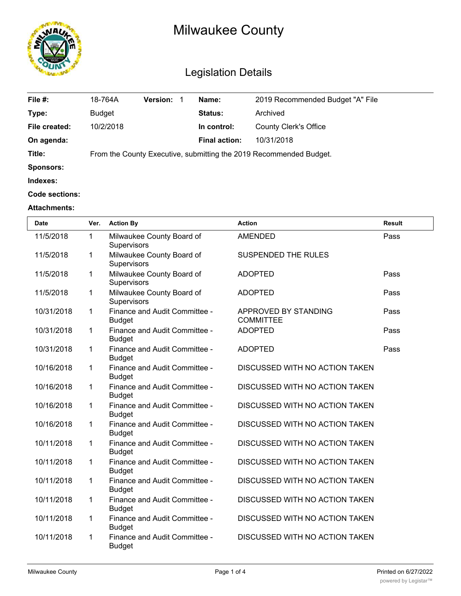

# Milwaukee County

## Legislation Details

| File #:          | 18-764A       | <b>Version:</b> | Name:                | 2019 Recommended Budget "A" File                                   |
|------------------|---------------|-----------------|----------------------|--------------------------------------------------------------------|
| Type:            | <b>Budget</b> |                 | Status:              | Archived                                                           |
| File created:    | 10/2/2018     |                 | In control:          | <b>County Clerk's Office</b>                                       |
| On agenda:       |               |                 | <b>Final action:</b> | 10/31/2018                                                         |
| Title:           |               |                 |                      | From the County Executive, submitting the 2019 Recommended Budget. |
| <b>Sponsors:</b> |               |                 |                      |                                                                    |
| Indexes:         |               |                 |                      |                                                                    |
| Code sections:   |               |                 |                      |                                                                    |
|                  |               |                 |                      |                                                                    |

#### **Attachments:**

| <b>Date</b> | Ver.         | <b>Action By</b>                               | <b>Action</b>                            | <b>Result</b> |
|-------------|--------------|------------------------------------------------|------------------------------------------|---------------|
| 11/5/2018   | $\mathbf{1}$ | Milwaukee County Board of<br>Supervisors       | <b>AMENDED</b>                           | Pass          |
| 11/5/2018   | 1            | Milwaukee County Board of<br>Supervisors       | SUSPENDED THE RULES                      |               |
| 11/5/2018   | 1            | Milwaukee County Board of<br>Supervisors       | <b>ADOPTED</b>                           | Pass          |
| 11/5/2018   | 1            | Milwaukee County Board of<br>Supervisors       | <b>ADOPTED</b>                           | Pass          |
| 10/31/2018  | 1            | Finance and Audit Committee -<br><b>Budget</b> | APPROVED BY STANDING<br><b>COMMITTEE</b> | Pass          |
| 10/31/2018  | 1            | Finance and Audit Committee -<br><b>Budget</b> | <b>ADOPTED</b>                           | Pass          |
| 10/31/2018  | 1            | Finance and Audit Committee -<br><b>Budget</b> | <b>ADOPTED</b>                           | Pass          |
| 10/16/2018  | 1            | Finance and Audit Committee -<br><b>Budget</b> | DISCUSSED WITH NO ACTION TAKEN           |               |
| 10/16/2018  | 1            | Finance and Audit Committee -<br><b>Budget</b> | DISCUSSED WITH NO ACTION TAKEN           |               |
| 10/16/2018  | 1            | Finance and Audit Committee -<br><b>Budget</b> | DISCUSSED WITH NO ACTION TAKEN           |               |
| 10/16/2018  | 1            | Finance and Audit Committee -<br><b>Budget</b> | DISCUSSED WITH NO ACTION TAKEN           |               |
| 10/11/2018  | 1            | Finance and Audit Committee -<br><b>Budget</b> | DISCUSSED WITH NO ACTION TAKEN           |               |
| 10/11/2018  | 1            | Finance and Audit Committee -<br><b>Budget</b> | DISCUSSED WITH NO ACTION TAKEN           |               |
| 10/11/2018  | 1            | Finance and Audit Committee -<br><b>Budget</b> | DISCUSSED WITH NO ACTION TAKEN           |               |
| 10/11/2018  | 1            | Finance and Audit Committee -<br><b>Budget</b> | DISCUSSED WITH NO ACTION TAKEN           |               |
| 10/11/2018  | 1            | Finance and Audit Committee -<br><b>Budget</b> | DISCUSSED WITH NO ACTION TAKEN           |               |
| 10/11/2018  | 1            | Finance and Audit Committee -<br><b>Budget</b> | DISCUSSED WITH NO ACTION TAKEN           |               |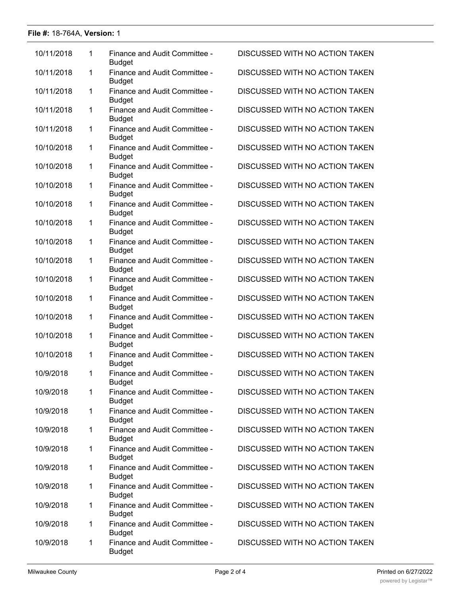#### **File #:** 18-764A, **Version:** 1

| 10/11/2018 | 1            | Finance and Audit Committee -<br><b>Budget</b> | DISCUSSED WITH NO ACTION TAKEN |
|------------|--------------|------------------------------------------------|--------------------------------|
| 10/11/2018 | 1            | Finance and Audit Committee -<br><b>Budget</b> | DISCUSSED WITH NO ACTION TAKEN |
| 10/11/2018 | $\mathbf{1}$ | Finance and Audit Committee -<br><b>Budget</b> | DISCUSSED WITH NO ACTION TAKEN |
| 10/11/2018 | 1            | Finance and Audit Committee -<br><b>Budget</b> | DISCUSSED WITH NO ACTION TAKEN |
| 10/11/2018 | 1            | Finance and Audit Committee -<br><b>Budget</b> | DISCUSSED WITH NO ACTION TAKEN |
| 10/10/2018 | 1            | Finance and Audit Committee -<br><b>Budget</b> | DISCUSSED WITH NO ACTION TAKEN |
| 10/10/2018 | 1            | Finance and Audit Committee -<br><b>Budget</b> | DISCUSSED WITH NO ACTION TAKEN |
| 10/10/2018 | 1            | Finance and Audit Committee -<br><b>Budget</b> | DISCUSSED WITH NO ACTION TAKEN |
| 10/10/2018 | $\mathbf{1}$ | Finance and Audit Committee -<br><b>Budget</b> | DISCUSSED WITH NO ACTION TAKEN |
| 10/10/2018 | 1            | Finance and Audit Committee -<br><b>Budget</b> | DISCUSSED WITH NO ACTION TAKEN |
| 10/10/2018 | 1            | Finance and Audit Committee -<br><b>Budget</b> | DISCUSSED WITH NO ACTION TAKEN |
| 10/10/2018 | 1            | Finance and Audit Committee -<br><b>Budget</b> | DISCUSSED WITH NO ACTION TAKEN |
| 10/10/2018 | 1            | Finance and Audit Committee -<br><b>Budget</b> | DISCUSSED WITH NO ACTION TAKEN |
| 10/10/2018 | $\mathbf 1$  | Finance and Audit Committee -<br><b>Budget</b> | DISCUSSED WITH NO ACTION TAKEN |
| 10/10/2018 | $\mathbf 1$  | Finance and Audit Committee -<br><b>Budget</b> | DISCUSSED WITH NO ACTION TAKEN |
| 10/10/2018 | 1            | Finance and Audit Committee -<br><b>Budget</b> | DISCUSSED WITH NO ACTION TAKEN |
| 10/10/2018 | 1            | Finance and Audit Committee -<br><b>Budget</b> | DISCUSSED WITH NO ACTION TAKEN |
| 10/9/2018  | 1            | Finance and Audit Committee -<br><b>Budget</b> | DISCUSSED WITH NO ACTION TAKEN |
| 10/9/2018  | 1            | Finance and Audit Committee -<br><b>Budget</b> | DISCUSSED WITH NO ACTION TAKEN |
| 10/9/2018  | 1            | Finance and Audit Committee -<br><b>Budget</b> | DISCUSSED WITH NO ACTION TAKEN |
| 10/9/2018  | $\mathbf 1$  | Finance and Audit Committee -<br><b>Budget</b> | DISCUSSED WITH NO ACTION TAKEN |
| 10/9/2018  | 1            | Finance and Audit Committee -<br><b>Budget</b> | DISCUSSED WITH NO ACTION TAKEN |
| 10/9/2018  | $\mathbf 1$  | Finance and Audit Committee -<br><b>Budget</b> | DISCUSSED WITH NO ACTION TAKEN |
| 10/9/2018  | $\mathbf 1$  | Finance and Audit Committee -<br><b>Budget</b> | DISCUSSED WITH NO ACTION TAKEN |
| 10/9/2018  | 1            | Finance and Audit Committee -<br><b>Budget</b> | DISCUSSED WITH NO ACTION TAKEN |
| 10/9/2018  | 1            | Finance and Audit Committee -<br><b>Budget</b> | DISCUSSED WITH NO ACTION TAKEN |
| 10/9/2018  | $\mathbf 1$  | Finance and Audit Committee -<br><b>Budget</b> | DISCUSSED WITH NO ACTION TAKEN |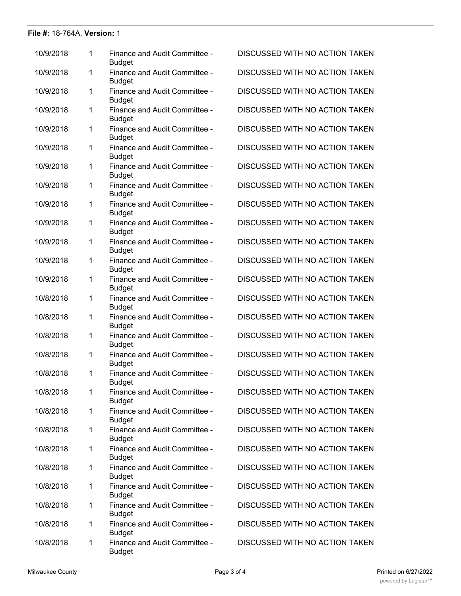#### **File #:** 18-764A, **Version:** 1

| 10/9/2018 | 1 | Finance and Audit Committee -<br><b>Budget</b> | <b>DISCUSSED WITH NO ACTION TAKEN</b> |
|-----------|---|------------------------------------------------|---------------------------------------|
| 10/9/2018 | 1 | Finance and Audit Committee -<br><b>Budget</b> | DISCUSSED WITH NO ACTION TAKEN        |
| 10/9/2018 | 1 | Finance and Audit Committee -<br><b>Budget</b> | <b>DISCUSSED WITH NO ACTION TAKEN</b> |
| 10/9/2018 | 1 | Finance and Audit Committee -<br><b>Budget</b> | DISCUSSED WITH NO ACTION TAKEN        |
| 10/9/2018 | 1 | Finance and Audit Committee -<br><b>Budget</b> | DISCUSSED WITH NO ACTION TAKEN        |
| 10/9/2018 | 1 | Finance and Audit Committee -<br><b>Budget</b> | DISCUSSED WITH NO ACTION TAKEN        |
| 10/9/2018 | 1 | Finance and Audit Committee -<br><b>Budget</b> | DISCUSSED WITH NO ACTION TAKEN        |
| 10/9/2018 | 1 | Finance and Audit Committee -<br><b>Budget</b> | DISCUSSED WITH NO ACTION TAKEN        |
| 10/9/2018 | 1 | Finance and Audit Committee -<br><b>Budget</b> | <b>DISCUSSED WITH NO ACTION TAKEN</b> |
| 10/9/2018 | 1 | Finance and Audit Committee -<br><b>Budget</b> | DISCUSSED WITH NO ACTION TAKEN        |
| 10/9/2018 | 1 | Finance and Audit Committee -<br><b>Budget</b> | DISCUSSED WITH NO ACTION TAKEN        |
| 10/9/2018 | 1 | Finance and Audit Committee -<br><b>Budget</b> | DISCUSSED WITH NO ACTION TAKEN        |
| 10/9/2018 | 1 | Finance and Audit Committee -<br><b>Budget</b> | DISCUSSED WITH NO ACTION TAKEN        |
| 10/8/2018 | 1 | Finance and Audit Committee -<br><b>Budget</b> | DISCUSSED WITH NO ACTION TAKEN        |
| 10/8/2018 | 1 | Finance and Audit Committee -<br><b>Budget</b> | DISCUSSED WITH NO ACTION TAKEN        |
| 10/8/2018 | 1 | Finance and Audit Committee -<br><b>Budget</b> | DISCUSSED WITH NO ACTION TAKEN        |
| 10/8/2018 | 1 | Finance and Audit Committee -<br><b>Budget</b> | DISCUSSED WITH NO ACTION TAKEN        |
| 10/8/2018 | 1 | Finance and Audit Committee -<br><b>Budget</b> | DISCUSSED WITH NO ACTION TAKEN        |
| 10/8/2018 | 1 | Finance and Audit Committee -<br><b>Budget</b> | DISCUSSED WITH NO ACTION TAKEN        |
| 10/8/2018 | 1 | Finance and Audit Committee -<br><b>Budget</b> | DISCUSSED WITH NO ACTION TAKEN        |
| 10/8/2018 | 1 | Finance and Audit Committee -<br><b>Budget</b> | DISCUSSED WITH NO ACTION TAKEN        |
| 10/8/2018 | 1 | Finance and Audit Committee -<br><b>Budget</b> | DISCUSSED WITH NO ACTION TAKEN        |
| 10/8/2018 | 1 | Finance and Audit Committee -<br><b>Budget</b> | DISCUSSED WITH NO ACTION TAKEN        |
| 10/8/2018 | 1 | Finance and Audit Committee -<br><b>Budget</b> | DISCUSSED WITH NO ACTION TAKEN        |
| 10/8/2018 | 1 | Finance and Audit Committee -<br><b>Budget</b> | DISCUSSED WITH NO ACTION TAKEN        |
| 10/8/2018 | 1 | Finance and Audit Committee -<br><b>Budget</b> | DISCUSSED WITH NO ACTION TAKEN        |
| 10/8/2018 | 1 | Finance and Audit Committee -<br><b>Budget</b> | DISCUSSED WITH NO ACTION TAKEN        |